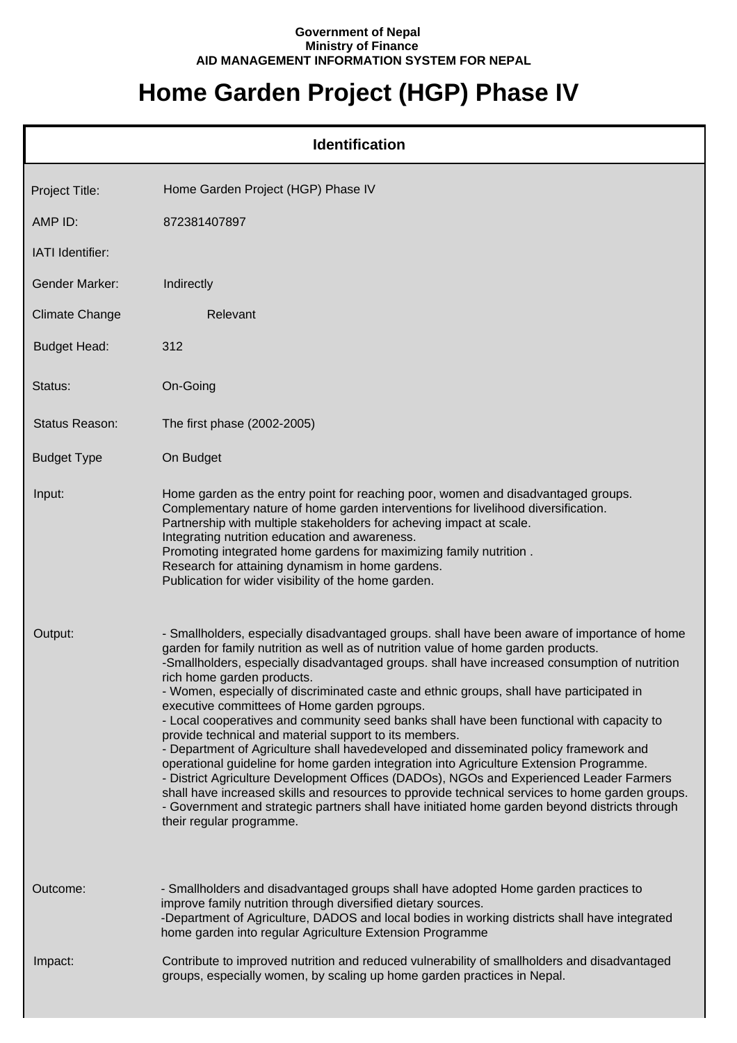## **Government of Nepal Ministry of Finance AID MANAGEMENT INFORMATION SYSTEM FOR NEPAL**

## **Home Garden Project (HGP) Phase IV**

| <b>Identification</b> |                                                                                                                                                                                                                                                                                                                                                                                                                                                                                                                                                                                                                                                                                                                                                                                                                                                                                                                                                                                                                                                                                                                                     |  |
|-----------------------|-------------------------------------------------------------------------------------------------------------------------------------------------------------------------------------------------------------------------------------------------------------------------------------------------------------------------------------------------------------------------------------------------------------------------------------------------------------------------------------------------------------------------------------------------------------------------------------------------------------------------------------------------------------------------------------------------------------------------------------------------------------------------------------------------------------------------------------------------------------------------------------------------------------------------------------------------------------------------------------------------------------------------------------------------------------------------------------------------------------------------------------|--|
| Project Title:        | Home Garden Project (HGP) Phase IV                                                                                                                                                                                                                                                                                                                                                                                                                                                                                                                                                                                                                                                                                                                                                                                                                                                                                                                                                                                                                                                                                                  |  |
| AMP ID:               | 872381407897                                                                                                                                                                                                                                                                                                                                                                                                                                                                                                                                                                                                                                                                                                                                                                                                                                                                                                                                                                                                                                                                                                                        |  |
| IATI Identifier:      |                                                                                                                                                                                                                                                                                                                                                                                                                                                                                                                                                                                                                                                                                                                                                                                                                                                                                                                                                                                                                                                                                                                                     |  |
| <b>Gender Marker:</b> | Indirectly                                                                                                                                                                                                                                                                                                                                                                                                                                                                                                                                                                                                                                                                                                                                                                                                                                                                                                                                                                                                                                                                                                                          |  |
| <b>Climate Change</b> | Relevant                                                                                                                                                                                                                                                                                                                                                                                                                                                                                                                                                                                                                                                                                                                                                                                                                                                                                                                                                                                                                                                                                                                            |  |
| <b>Budget Head:</b>   | 312                                                                                                                                                                                                                                                                                                                                                                                                                                                                                                                                                                                                                                                                                                                                                                                                                                                                                                                                                                                                                                                                                                                                 |  |
| Status:               | On-Going                                                                                                                                                                                                                                                                                                                                                                                                                                                                                                                                                                                                                                                                                                                                                                                                                                                                                                                                                                                                                                                                                                                            |  |
| Status Reason:        | The first phase (2002-2005)                                                                                                                                                                                                                                                                                                                                                                                                                                                                                                                                                                                                                                                                                                                                                                                                                                                                                                                                                                                                                                                                                                         |  |
| <b>Budget Type</b>    | On Budget                                                                                                                                                                                                                                                                                                                                                                                                                                                                                                                                                                                                                                                                                                                                                                                                                                                                                                                                                                                                                                                                                                                           |  |
| Input:                | Home garden as the entry point for reaching poor, women and disadvantaged groups.<br>Complementary nature of home garden interventions for livelihood diversification.<br>Partnership with multiple stakeholders for acheving impact at scale.<br>Integrating nutrition education and awareness.<br>Promoting integrated home gardens for maximizing family nutrition.<br>Research for attaining dynamism in home gardens.<br>Publication for wider visibility of the home garden.                                                                                                                                                                                                                                                                                                                                                                                                                                                                                                                                                                                                                                                  |  |
| Output:               | - Smallholders, especially disadvantaged groups. shall have been aware of importance of home<br>garden for family nutrition as well as of nutrition value of home garden products.<br>-Smallholders, especially disadvantaged groups. shall have increased consumption of nutrition<br>rich home garden products.<br>- Women, especially of discriminated caste and ethnic groups, shall have participated in<br>executive committees of Home garden pgroups.<br>- Local cooperatives and community seed banks shall have been functional with capacity to<br>provide technical and material support to its members.<br>- Department of Agriculture shall havedeveloped and disseminated policy framework and<br>operational guideline for home garden integration into Agriculture Extension Programme.<br>- District Agriculture Development Offices (DADOs), NGOs and Experienced Leader Farmers<br>shall have increased skills and resources to pprovide technical services to home garden groups.<br>- Government and strategic partners shall have initiated home garden beyond districts through<br>their regular programme. |  |
| Outcome:              | - Smallholders and disadvantaged groups shall have adopted Home garden practices to<br>improve family nutrition through diversified dietary sources.<br>-Department of Agriculture, DADOS and local bodies in working districts shall have integrated<br>home garden into regular Agriculture Extension Programme                                                                                                                                                                                                                                                                                                                                                                                                                                                                                                                                                                                                                                                                                                                                                                                                                   |  |
| Impact:               | Contribute to improved nutrition and reduced vulnerability of smallholders and disadvantaged<br>groups, especially women, by scaling up home garden practices in Nepal.                                                                                                                                                                                                                                                                                                                                                                                                                                                                                                                                                                                                                                                                                                                                                                                                                                                                                                                                                             |  |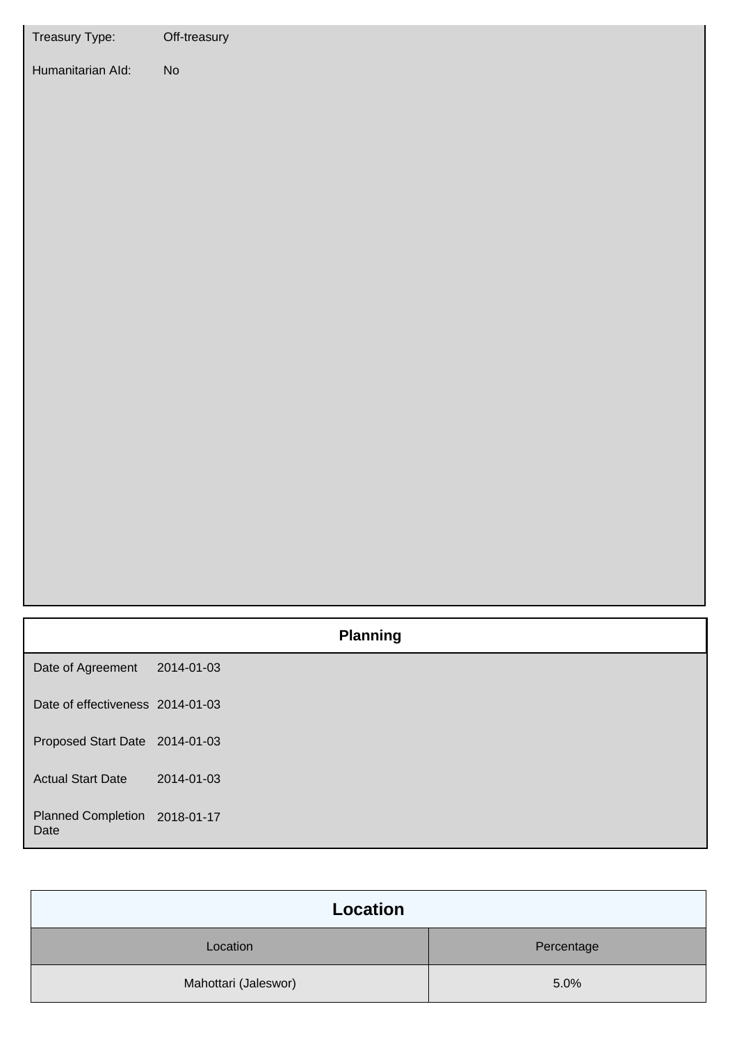| Treasury Type:                        | Off-treasury    |
|---------------------------------------|-----------------|
| Humanitarian Ald:                     | ${\sf No}$      |
|                                       | <b>Planning</b> |
| Date of Agreement                     | 2014-01-03      |
| Date of effectiveness 2014-01-03      |                 |
| Proposed Start Date 2014-01-03        |                 |
| <b>Actual Start Date</b>              | 2014-01-03      |
| Planned Completion 2018-01-17<br>Date |                 |

| Location             |            |  |
|----------------------|------------|--|
| Location             | Percentage |  |
| Mahottari (Jaleswor) | 5.0%       |  |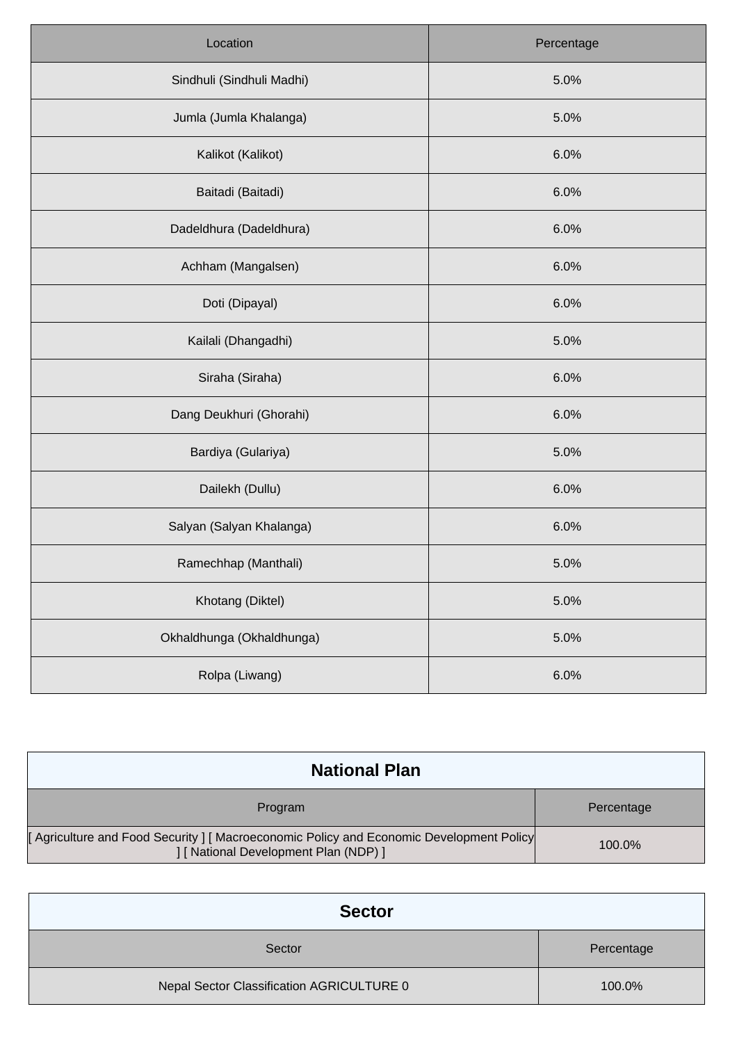| Location                  | Percentage |
|---------------------------|------------|
| Sindhuli (Sindhuli Madhi) | 5.0%       |
| Jumla (Jumla Khalanga)    | 5.0%       |
| Kalikot (Kalikot)         | 6.0%       |
| Baitadi (Baitadi)         | 6.0%       |
| Dadeldhura (Dadeldhura)   | 6.0%       |
| Achham (Mangalsen)        | 6.0%       |
| Doti (Dipayal)            | 6.0%       |
| Kailali (Dhangadhi)       | 5.0%       |
| Siraha (Siraha)           | 6.0%       |
| Dang Deukhuri (Ghorahi)   | 6.0%       |
| Bardiya (Gulariya)        | 5.0%       |
| Dailekh (Dullu)           | 6.0%       |
| Salyan (Salyan Khalanga)  | 6.0%       |
| Ramechhap (Manthali)      | 5.0%       |
| Khotang (Diktel)          | 5.0%       |
| Okhaldhunga (Okhaldhunga) | 5.0%       |
| Rolpa (Liwang)            | 6.0%       |

| <b>National Plan</b>                                                                                                             |            |
|----------------------------------------------------------------------------------------------------------------------------------|------------|
| Program                                                                                                                          | Percentage |
| [Agriculture and Food Security ] [ Macroeconomic Policy and Economic Development Policy<br>] [ National Development Plan (NDP) ] | 100.0%     |

| <b>Sector</b>                             |            |
|-------------------------------------------|------------|
| Sector                                    | Percentage |
| Nepal Sector Classification AGRICULTURE 0 | 100.0%     |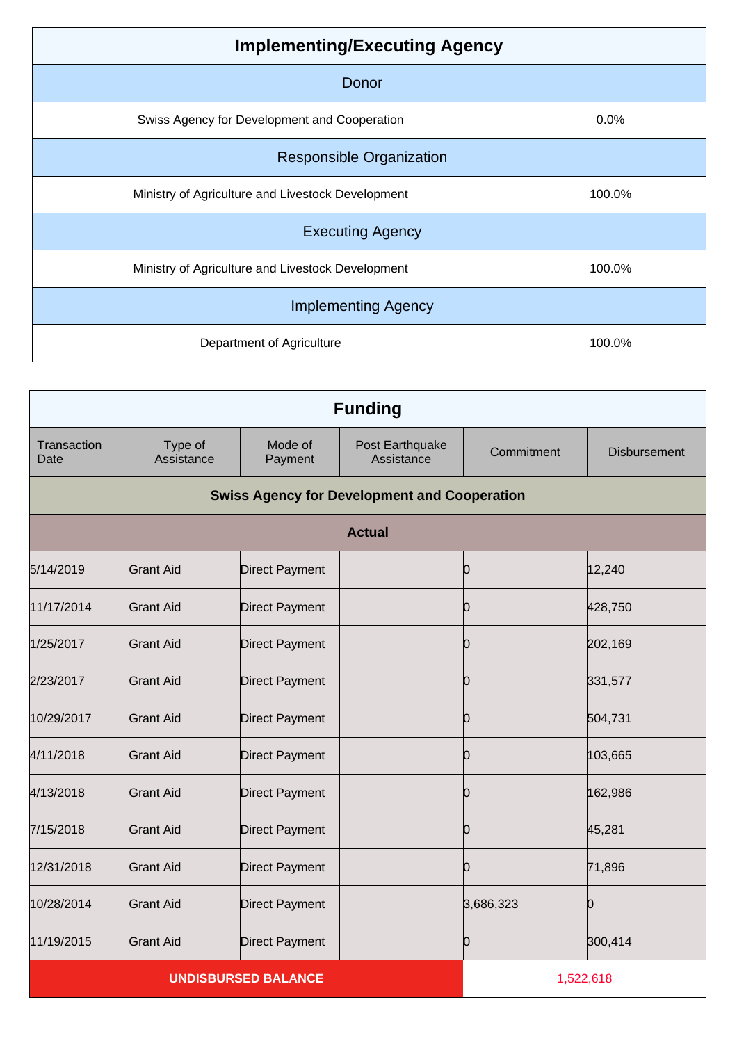| <b>Implementing/Executing Agency</b>              |        |  |
|---------------------------------------------------|--------|--|
| Donor                                             |        |  |
| Swiss Agency for Development and Cooperation      | 0.0%   |  |
| <b>Responsible Organization</b>                   |        |  |
| Ministry of Agriculture and Livestock Development | 100.0% |  |
| <b>Executing Agency</b>                           |        |  |
| Ministry of Agriculture and Livestock Development | 100.0% |  |
| <b>Implementing Agency</b>                        |        |  |
| Department of Agriculture                         | 100.0% |  |

| <b>Funding</b>      |                       |                            |                                                     |            |                     |
|---------------------|-----------------------|----------------------------|-----------------------------------------------------|------------|---------------------|
| Transaction<br>Date | Type of<br>Assistance | Mode of<br>Payment         | Post Earthquake<br>Assistance                       | Commitment | <b>Disbursement</b> |
|                     |                       |                            | <b>Swiss Agency for Development and Cooperation</b> |            |                     |
|                     |                       |                            | <b>Actual</b>                                       |            |                     |
| 5/14/2019           | <b>Grant Aid</b>      | <b>Direct Payment</b>      |                                                     | 0          | 12,240              |
| 11/17/2014          | <b>Grant Aid</b>      | <b>Direct Payment</b>      |                                                     | Ю          | 428,750             |
| 1/25/2017           | <b>Grant Aid</b>      | <b>Direct Payment</b>      |                                                     | 0          | 202,169             |
| 2/23/2017           | <b>Grant Aid</b>      | <b>Direct Payment</b>      |                                                     | 0          | 331,577             |
| 10/29/2017          | <b>Grant Aid</b>      | <b>Direct Payment</b>      |                                                     | Ю          | 504,731             |
| 4/11/2018           | <b>Grant Aid</b>      | <b>Direct Payment</b>      |                                                     | 0          | 103,665             |
| 4/13/2018           | <b>Grant Aid</b>      | <b>Direct Payment</b>      |                                                     | Ю          | 162,986             |
| 7/15/2018           | <b>Grant Aid</b>      | <b>Direct Payment</b>      |                                                     | 10         | 45,281              |
| 12/31/2018          | <b>Grant Aid</b>      | <b>Direct Payment</b>      |                                                     | 0          | 71,896              |
| 10/28/2014          | <b>Grant Aid</b>      | <b>Direct Payment</b>      |                                                     | 3,686,323  | n                   |
| 11/19/2015          | <b>Grant Aid</b>      | <b>Direct Payment</b>      |                                                     | Ю          | 300,414             |
|                     |                       | <b>UNDISBURSED BALANCE</b> |                                                     |            | 1,522,618           |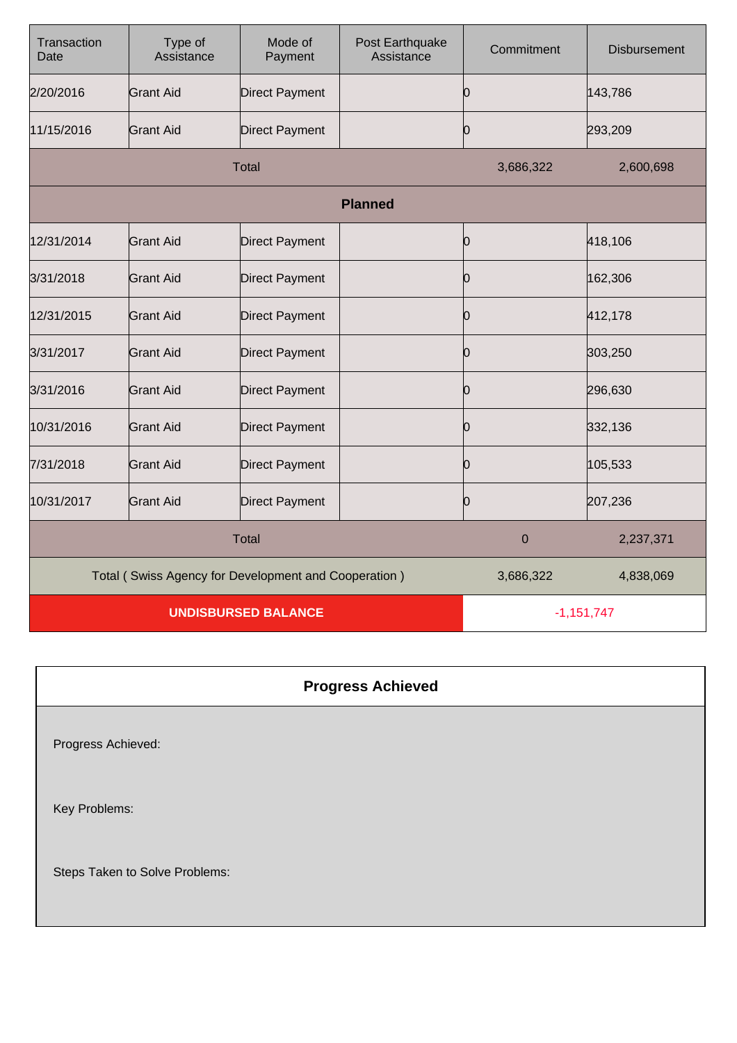| Transaction<br>Date        | Type of<br>Assistance                                | Mode of<br>Payment    | Post Earthquake<br>Assistance | Commitment | <b>Disbursement</b> |
|----------------------------|------------------------------------------------------|-----------------------|-------------------------------|------------|---------------------|
| 2/20/2016                  | <b>Grant Aid</b>                                     | <b>Direct Payment</b> |                               | 0          | 143,786             |
| 11/15/2016                 | <b>Grant Aid</b>                                     | <b>Direct Payment</b> |                               | 10         | 293,209             |
|                            |                                                      | <b>Total</b>          |                               | 3,686,322  | 2,600,698           |
|                            |                                                      |                       | <b>Planned</b>                |            |                     |
| 12/31/2014                 | <b>Grant Aid</b>                                     | <b>Direct Payment</b> |                               | 10         | 418,106             |
| 3/31/2018                  | <b>Grant Aid</b>                                     | <b>Direct Payment</b> |                               | 10         | 162,306             |
| 12/31/2015                 | Grant Aid                                            | <b>Direct Payment</b> |                               | 10         | 412,178             |
| 3/31/2017                  | <b>Grant Aid</b>                                     | <b>Direct Payment</b> |                               | Ю          | 303,250             |
| 3/31/2016                  | <b>Grant Aid</b>                                     | <b>Direct Payment</b> |                               | 10         | 296,630             |
| 10/31/2016                 | <b>Grant Aid</b>                                     | <b>Direct Payment</b> |                               | 10         | 332,136             |
| 7/31/2018                  | <b>Grant Aid</b>                                     | <b>Direct Payment</b> |                               | 0          | 105,533             |
| 10/31/2017                 | <b>Grant Aid</b>                                     | <b>Direct Payment</b> |                               | Ю          | 207,236             |
| <b>Total</b>               |                                                      |                       | $\mathbf 0$                   | 2,237,371  |                     |
|                            | Total (Swiss Agency for Development and Cooperation) |                       |                               | 3,686,322  | 4,838,069           |
| <b>UNDISBURSED BALANCE</b> |                                                      |                       | $-1,151,747$                  |            |                     |

Progress Achieved:

Key Problems:

Steps Taken to Solve Problems: